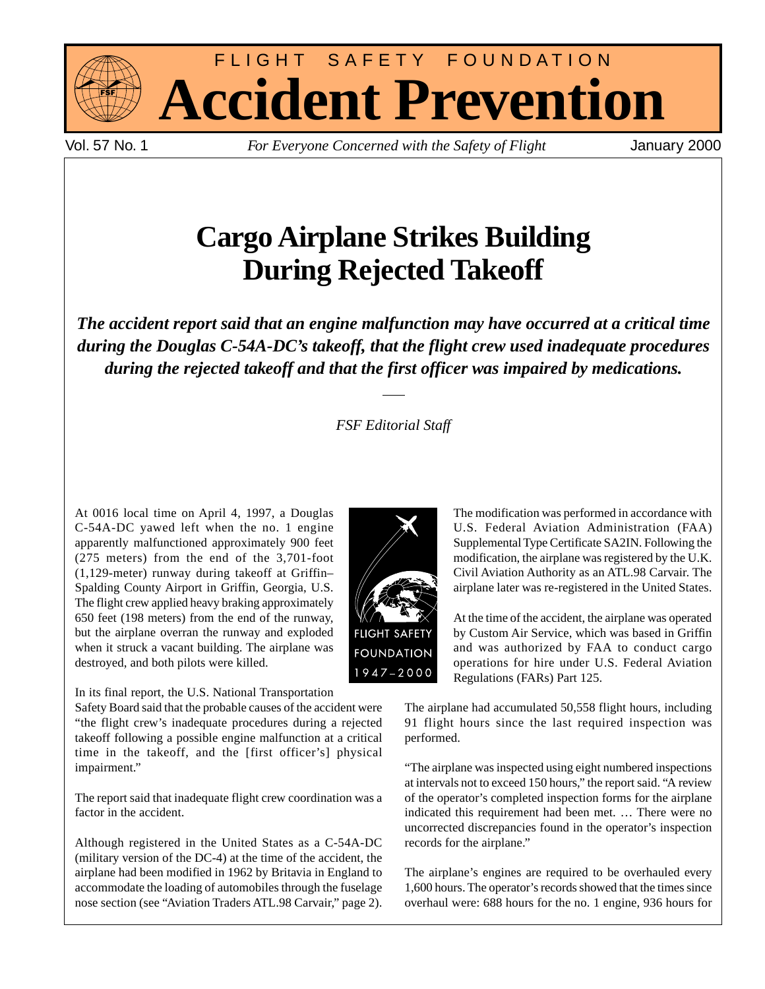



Vol. 57 No. 1 *For Everyone Concerned with the Safety of Flight* January 2000

## **Cargo Airplane Strikes Building During Rejected Takeoff**

*The accident report said that an engine malfunction may have occurred at a critical time during the Douglas C-54A-DC's takeoff, that the flight crew used inadequate procedures during the rejected takeoff and that the first officer was impaired by medications.*

#### *FSF Editorial Staff*

At 0016 local time on April 4, 1997, a Douglas C-54A-DC yawed left when the no. 1 engine apparently malfunctioned approximately 900 feet (275 meters) from the end of the 3,701-foot (1,129-meter) runway during takeoff at Griffin– Spalding County Airport in Griffin, Georgia, U.S. The flight crew applied heavy braking approximately 650 feet (198 meters) from the end of the runway, but the airplane overran the runway and exploded when it struck a vacant building. The airplane was destroyed, and both pilots were killed.

In its final report, the U.S. National Transportation

Safety Board said that the probable causes of the accident were "the flight crew's inadequate procedures during a rejected takeoff following a possible engine malfunction at a critical time in the takeoff, and the [first officer's] physical impairment."

The report said that inadequate flight crew coordination was a factor in the accident.

Although registered in the United States as a C-54A-DC (military version of the DC-4) at the time of the accident, the airplane had been modified in 1962 by Britavia in England to accommodate the loading of automobiles through the fuselage nose section (see "Aviation Traders ATL.98 Carvair," page 2).



The modification was performed in accordance with U.S. Federal Aviation Administration (FAA) Supplemental Type Certificate SA2IN. Following the modification, the airplane was registered by the U.K. Civil Aviation Authority as an ATL.98 Carvair. The airplane later was re-registered in the United States.

At the time of the accident, the airplane was operated by Custom Air Service, which was based in Griffin and was authorized by FAA to conduct cargo operations for hire under U.S. Federal Aviation Regulations (FARs) Part 125.

The airplane had accumulated 50,558 flight hours, including 91 flight hours since the last required inspection was performed.

"The airplane was inspected using eight numbered inspections at intervals not to exceed 150 hours," the report said. "A review of the operator's completed inspection forms for the airplane indicated this requirement had been met. … There were no uncorrected discrepancies found in the operator's inspection records for the airplane."

The airplane's engines are required to be overhauled every 1,600 hours. The operator's records showed that the times since overhaul were: 688 hours for the no. 1 engine, 936 hours for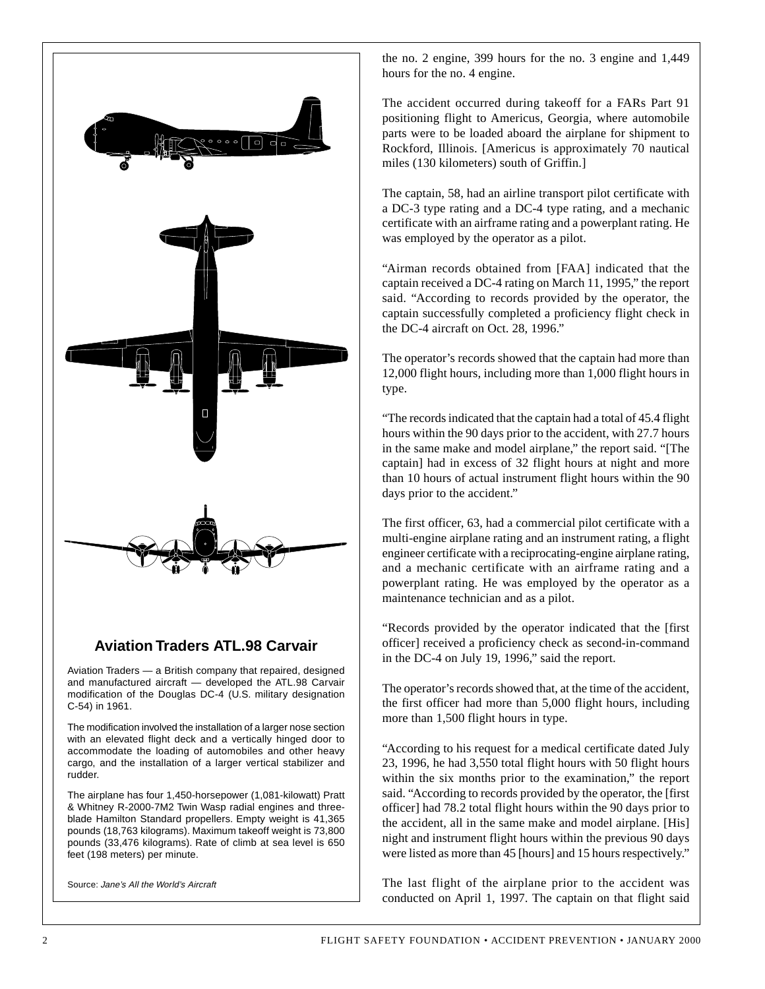

#### **Aviation Traders ATL.98 Carvair**

Aviation Traders — a British company that repaired, designed and manufactured aircraft — developed the ATL.98 Carvair modification of the Douglas DC-4 (U.S. military designation C-54) in 1961.

The modification involved the installation of a larger nose section with an elevated flight deck and a vertically hinged door to accommodate the loading of automobiles and other heavy cargo, and the installation of a larger vertical stabilizer and rudder.

The airplane has four 1,450-horsepower (1,081-kilowatt) Pratt & Whitney R-2000-7M2 Twin Wasp radial engines and threeblade Hamilton Standard propellers. Empty weight is 41,365 pounds (18,763 kilograms). Maximum takeoff weight is 73,800 pounds (33,476 kilograms). Rate of climb at sea level is 650 feet (198 meters) per minute.

Source: Jane's All the World's Aircraft

the no. 2 engine, 399 hours for the no. 3 engine and 1,449 hours for the no. 4 engine.

The accident occurred during takeoff for a FARs Part 91 positioning flight to Americus, Georgia, where automobile parts were to be loaded aboard the airplane for shipment to Rockford, Illinois. [Americus is approximately 70 nautical miles (130 kilometers) south of Griffin.]

The captain, 58, had an airline transport pilot certificate with a DC-3 type rating and a DC-4 type rating, and a mechanic certificate with an airframe rating and a powerplant rating. He was employed by the operator as a pilot.

"Airman records obtained from [FAA] indicated that the captain received a DC-4 rating on March 11, 1995," the report said. "According to records provided by the operator, the captain successfully completed a proficiency flight check in the DC-4 aircraft on Oct. 28, 1996."

The operator's records showed that the captain had more than 12,000 flight hours, including more than 1,000 flight hours in type.

"The records indicated that the captain had a total of 45.4 flight hours within the 90 days prior to the accident, with 27.7 hours in the same make and model airplane," the report said. "[The captain] had in excess of 32 flight hours at night and more than 10 hours of actual instrument flight hours within the 90 days prior to the accident."

The first officer, 63, had a commercial pilot certificate with a multi-engine airplane rating and an instrument rating, a flight engineer certificate with a reciprocating-engine airplane rating, and a mechanic certificate with an airframe rating and a powerplant rating. He was employed by the operator as a maintenance technician and as a pilot.

"Records provided by the operator indicated that the [first officer] received a proficiency check as second-in-command in the DC-4 on July 19, 1996," said the report.

The operator's records showed that, at the time of the accident, the first officer had more than 5,000 flight hours, including more than 1,500 flight hours in type.

"According to his request for a medical certificate dated July 23, 1996, he had 3,550 total flight hours with 50 flight hours within the six months prior to the examination," the report said. "According to records provided by the operator, the [first officer] had 78.2 total flight hours within the 90 days prior to the accident, all in the same make and model airplane. [His] night and instrument flight hours within the previous 90 days were listed as more than 45 [hours] and 15 hours respectively."

The last flight of the airplane prior to the accident was conducted on April 1, 1997. The captain on that flight said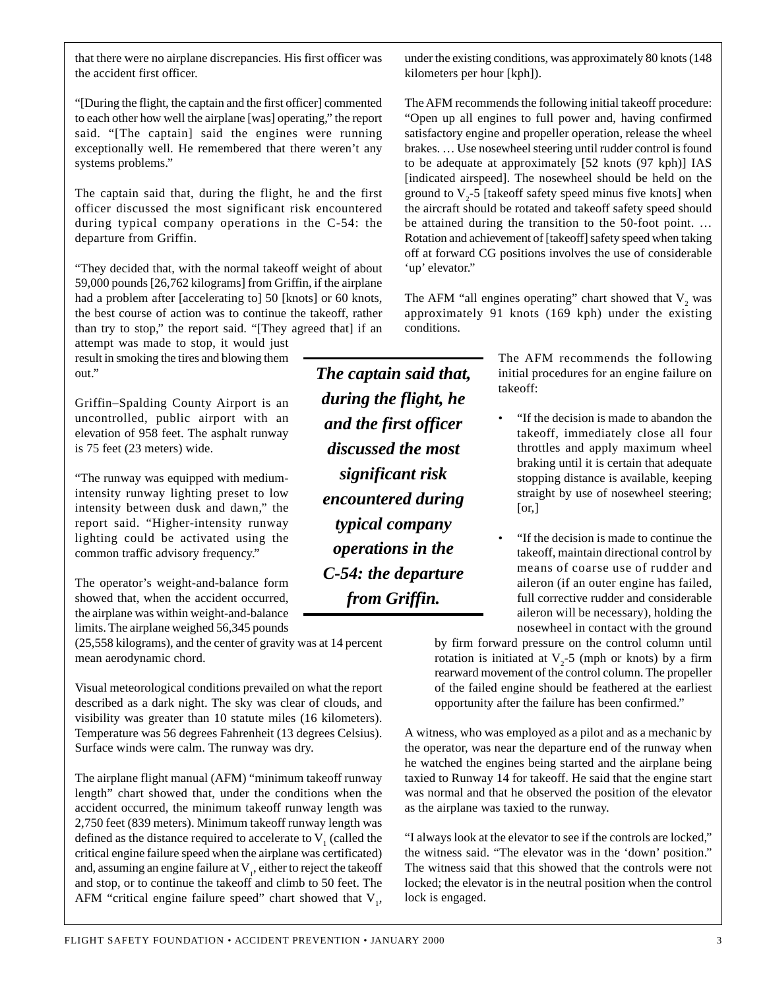that there were no airplane discrepancies. His first officer was the accident first officer.

"[During the flight, the captain and the first officer] commented to each other how well the airplane [was] operating," the report said. "[The captain] said the engines were running exceptionally well. He remembered that there weren't any systems problems."

The captain said that, during the flight, he and the first officer discussed the most significant risk encountered during typical company operations in the C-54: the departure from Griffin.

"They decided that, with the normal takeoff weight of about 59,000 pounds [26,762 kilograms] from Griffin, if the airplane had a problem after [accelerating to] 50 [knots] or 60 knots, the best course of action was to continue the takeoff, rather than try to stop," the report said. "[They agreed that] if an

attempt was made to stop, it would just result in smoking the tires and blowing them out."

Griffin–Spalding County Airport is an uncontrolled, public airport with an elevation of 958 feet. The asphalt runway is 75 feet (23 meters) wide.

"The runway was equipped with mediumintensity runway lighting preset to low intensity between dusk and dawn," the report said. "Higher-intensity runway lighting could be activated using the common traffic advisory frequency."

The operator's weight-and-balance form showed that, when the accident occurred, the airplane was within weight-and-balance limits. The airplane weighed 56,345 pounds

(25,558 kilograms), and the center of gravity was at 14 percent mean aerodynamic chord.

Visual meteorological conditions prevailed on what the report described as a dark night. The sky was clear of clouds, and visibility was greater than 10 statute miles (16 kilometers). Temperature was 56 degrees Fahrenheit (13 degrees Celsius). Surface winds were calm. The runway was dry.

The airplane flight manual (AFM) "minimum takeoff runway length" chart showed that, under the conditions when the accident occurred, the minimum takeoff runway length was 2,750 feet (839 meters). Minimum takeoff runway length was defined as the distance required to accelerate to  $V<sub>1</sub>$  (called the critical engine failure speed when the airplane was certificated) and, assuming an engine failure at  $V_1$ , either to reject the takeoff and stop, or to continue the takeoff and climb to 50 feet. The AFM "critical engine failure speed" chart showed that  $V_1$ ,

*The captain said that, during the flight, he and the first officer discussed the most significant risk encountered during typical company operations in the C-54: the departure from Griffin.*

under the existing conditions, was approximately 80 knots (148 kilometers per hour [kph]).

The AFM recommends the following initial takeoff procedure: "Open up all engines to full power and, having confirmed satisfactory engine and propeller operation, release the wheel brakes. … Use nosewheel steering until rudder control is found to be adequate at approximately [52 knots (97 kph)] IAS [indicated airspeed]. The nosewheel should be held on the ground to  $V_2$ -5 [takeoff safety speed minus five knots] when the aircraft should be rotated and takeoff safety speed should be attained during the transition to the 50-foot point. … Rotation and achievement of [takeoff] safety speed when taking off at forward CG positions involves the use of considerable 'up' elevator."

The AFM "all engines operating" chart showed that  $V_2$  was approximately 91 knots (169 kph) under the existing conditions.

> The AFM recommends the following initial procedures for an engine failure on takeoff:

- "If the decision is made to abandon the takeoff, immediately close all four throttles and apply maximum wheel braking until it is certain that adequate stopping distance is available, keeping straight by use of nosewheel steering;  $[or,]$
- "If the decision is made to continue the takeoff, maintain directional control by means of coarse use of rudder and aileron (if an outer engine has failed, full corrective rudder and considerable aileron will be necessary), holding the nosewheel in contact with the ground

by firm forward pressure on the control column until rotation is initiated at  $V_2$ -5 (mph or knots) by a firm rearward movement of the control column. The propeller of the failed engine should be feathered at the earliest opportunity after the failure has been confirmed."

A witness, who was employed as a pilot and as a mechanic by the operator, was near the departure end of the runway when he watched the engines being started and the airplane being taxied to Runway 14 for takeoff. He said that the engine start was normal and that he observed the position of the elevator as the airplane was taxied to the runway.

"I always look at the elevator to see if the controls are locked," the witness said. "The elevator was in the 'down' position." The witness said that this showed that the controls were not locked; the elevator is in the neutral position when the control lock is engaged.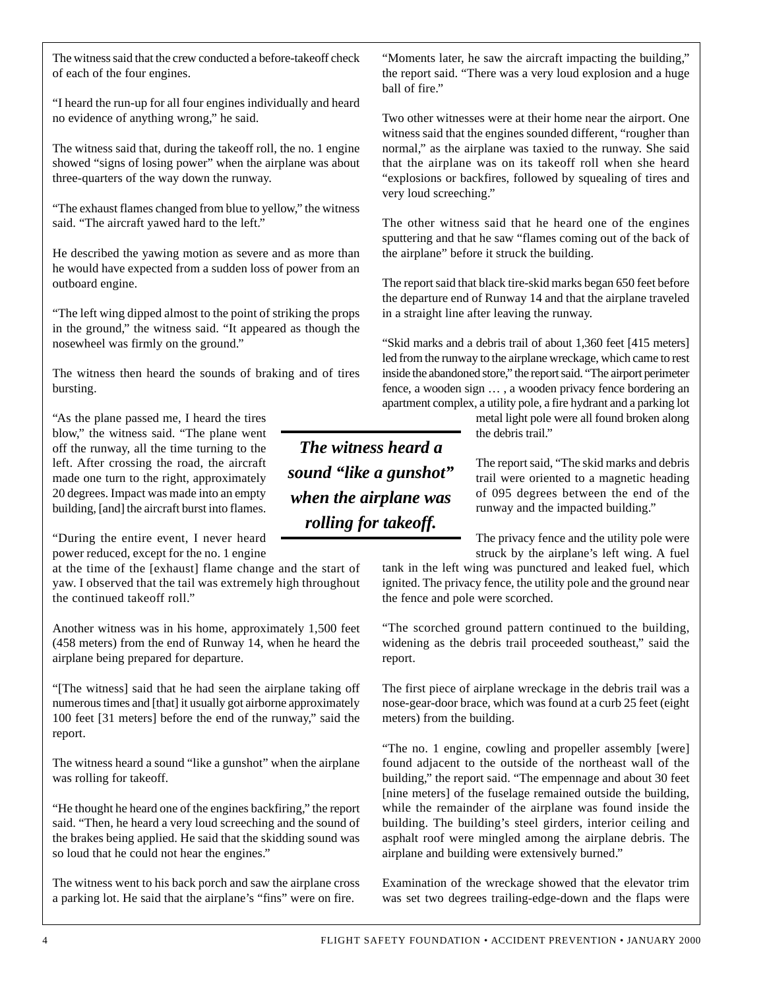The witness said that the crew conducted a before-takeoff check of each of the four engines.

"I heard the run-up for all four engines individually and heard no evidence of anything wrong," he said.

The witness said that, during the takeoff roll, the no. 1 engine showed "signs of losing power" when the airplane was about three-quarters of the way down the runway.

"The exhaust flames changed from blue to yellow," the witness said. "The aircraft yawed hard to the left."

He described the yawing motion as severe and as more than he would have expected from a sudden loss of power from an outboard engine.

"The left wing dipped almost to the point of striking the props in the ground," the witness said. "It appeared as though the nosewheel was firmly on the ground."

The witness then heard the sounds of braking and of tires bursting.

"As the plane passed me, I heard the tires blow," the witness said. "The plane went off the runway, all the time turning to the left. After crossing the road, the aircraft made one turn to the right, approximately 20 degrees. Impact was made into an empty building, [and] the aircraft burst into flames.

"During the entire event, I never heard power reduced, except for the no. 1 engine

at the time of the [exhaust] flame change and the start of yaw. I observed that the tail was extremely high throughout the continued takeoff roll."

Another witness was in his home, approximately 1,500 feet (458 meters) from the end of Runway 14, when he heard the airplane being prepared for departure.

"[The witness] said that he had seen the airplane taking off numerous times and [that] it usually got airborne approximately 100 feet [31 meters] before the end of the runway," said the report.

The witness heard a sound "like a gunshot" when the airplane was rolling for takeoff.

"He thought he heard one of the engines backfiring," the report said. "Then, he heard a very loud screeching and the sound of the brakes being applied. He said that the skidding sound was so loud that he could not hear the engines."

The witness went to his back porch and saw the airplane cross a parking lot. He said that the airplane's "fins" were on fire.

"Moments later, he saw the aircraft impacting the building," the report said. "There was a very loud explosion and a huge ball of fire."

Two other witnesses were at their home near the airport. One witness said that the engines sounded different, "rougher than normal," as the airplane was taxied to the runway. She said that the airplane was on its takeoff roll when she heard "explosions or backfires, followed by squealing of tires and very loud screeching."

The other witness said that he heard one of the engines sputtering and that he saw "flames coming out of the back of the airplane" before it struck the building.

The report said that black tire-skid marks began 650 feet before the departure end of Runway 14 and that the airplane traveled in a straight line after leaving the runway.

"Skid marks and a debris trail of about 1,360 feet [415 meters] led from the runway to the airplane wreckage, which came to rest inside the abandoned store," the report said. "The airport perimeter fence, a wooden sign … , a wooden privacy fence bordering an apartment complex, a utility pole, a fire hydrant and a parking lot

metal light pole were all found broken along the debris trail."

*The witness heard a sound "like a gunshot" when the airplane was rolling for takeoff.*

The report said, "The skid marks and debris trail were oriented to a magnetic heading of 095 degrees between the end of the runway and the impacted building."

The privacy fence and the utility pole were struck by the airplane's left wing. A fuel

tank in the left wing was punctured and leaked fuel, which ignited. The privacy fence, the utility pole and the ground near the fence and pole were scorched.

"The scorched ground pattern continued to the building, widening as the debris trail proceeded southeast," said the report.

The first piece of airplane wreckage in the debris trail was a nose-gear-door brace, which was found at a curb 25 feet (eight meters) from the building.

"The no. 1 engine, cowling and propeller assembly [were] found adjacent to the outside of the northeast wall of the building," the report said. "The empennage and about 30 feet [nine meters] of the fuselage remained outside the building, while the remainder of the airplane was found inside the building. The building's steel girders, interior ceiling and asphalt roof were mingled among the airplane debris. The airplane and building were extensively burned."

Examination of the wreckage showed that the elevator trim was set two degrees trailing-edge-down and the flaps were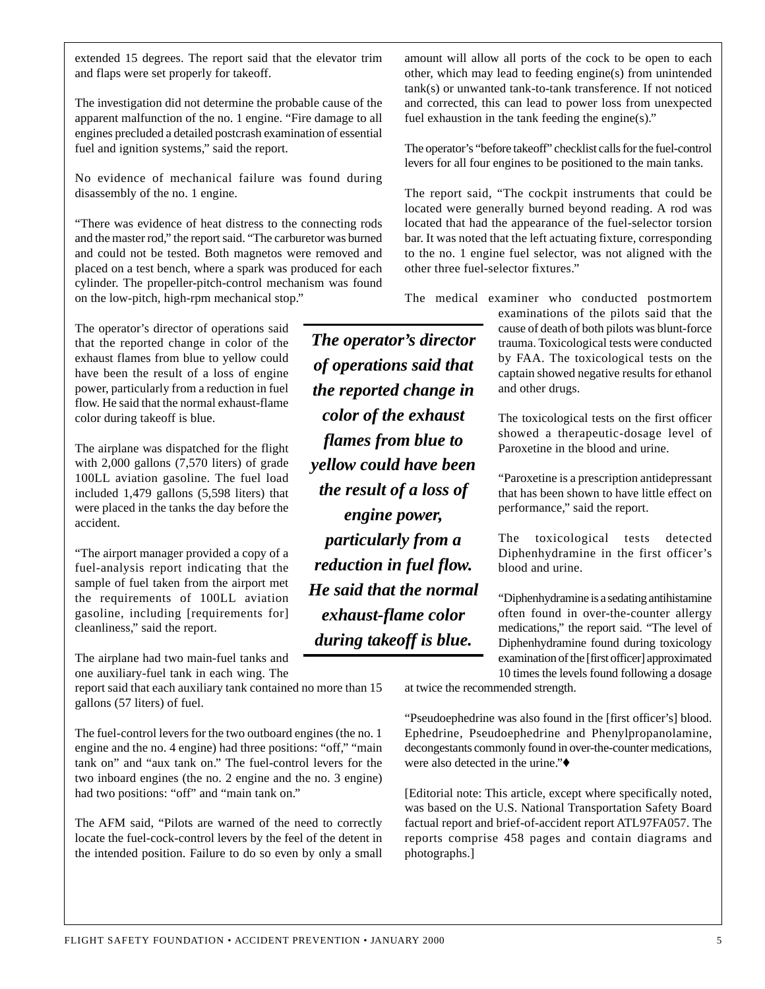extended 15 degrees. The report said that the elevator trim and flaps were set properly for takeoff.

The investigation did not determine the probable cause of the apparent malfunction of the no. 1 engine. "Fire damage to all engines precluded a detailed postcrash examination of essential fuel and ignition systems," said the report.

No evidence of mechanical failure was found during disassembly of the no. 1 engine.

"There was evidence of heat distress to the connecting rods and the master rod," the report said. "The carburetor was burned and could not be tested. Both magnetos were removed and placed on a test bench, where a spark was produced for each cylinder. The propeller-pitch-control mechanism was found on the low-pitch, high-rpm mechanical stop."

The operator's director of operations said that the reported change in color of the exhaust flames from blue to yellow could have been the result of a loss of engine power, particularly from a reduction in fuel flow. He said that the normal exhaust-flame color during takeoff is blue.

The airplane was dispatched for the flight with 2,000 gallons (7,570 liters) of grade 100LL aviation gasoline. The fuel load included 1,479 gallons (5,598 liters) that were placed in the tanks the day before the accident.

"The airport manager provided a copy of a fuel-analysis report indicating that the sample of fuel taken from the airport met the requirements of 100LL aviation gasoline, including [requirements for] cleanliness," said the report.

The airplane had two main-fuel tanks and one auxiliary-fuel tank in each wing. The

report said that each auxiliary tank contained no more than 15 gallons (57 liters) of fuel.

The fuel-control levers for the two outboard engines (the no. 1 engine and the no. 4 engine) had three positions: "off," "main tank on" and "aux tank on." The fuel-control levers for the two inboard engines (the no. 2 engine and the no. 3 engine) had two positions: "off" and "main tank on."

The AFM said, "Pilots are warned of the need to correctly locate the fuel-cock-control levers by the feel of the detent in the intended position. Failure to do so even by only a small

*The operator's director of operations said that the reported change in color of the exhaust flames from blue to yellow could have been the result of a loss of engine power, particularly from a reduction in fuel flow. He said that the normal*

*exhaust-flame color during takeoff is blue.*

amount will allow all ports of the cock to be open to each other, which may lead to feeding engine(s) from unintended tank(s) or unwanted tank-to-tank transference. If not noticed and corrected, this can lead to power loss from unexpected fuel exhaustion in the tank feeding the engine(s)."

The operator's "before takeoff" checklist calls for the fuel-control levers for all four engines to be positioned to the main tanks.

The report said, "The cockpit instruments that could be located were generally burned beyond reading. A rod was located that had the appearance of the fuel-selector torsion bar. It was noted that the left actuating fixture, corresponding to the no. 1 engine fuel selector, was not aligned with the other three fuel-selector fixtures."

The medical examiner who conducted postmortem

examinations of the pilots said that the cause of death of both pilots was blunt-force trauma. Toxicological tests were conducted by FAA. The toxicological tests on the captain showed negative results for ethanol and other drugs.

The toxicological tests on the first officer showed a therapeutic-dosage level of Paroxetine in the blood and urine.

"Paroxetine is a prescription antidepressant that has been shown to have little effect on performance," said the report.

The toxicological tests detected Diphenhydramine in the first officer's blood and urine.

"Diphenhydramine is a sedating antihistamine often found in over-the-counter allergy medications," the report said. "The level of Diphenhydramine found during toxicology examination of the [first officer] approximated 10 times the levels found following a dosage

at twice the recommended strength.

"Pseudoephedrine was also found in the [first officer's] blood. Ephedrine, Pseudoephedrine and Phenylpropanolamine, decongestants commonly found in over-the-counter medications, were also detected in the urine."♦

[Editorial note: This article, except where specifically noted, was based on the U.S. National Transportation Safety Board factual report and brief-of-accident report ATL97FA057. The reports comprise 458 pages and contain diagrams and photographs.]